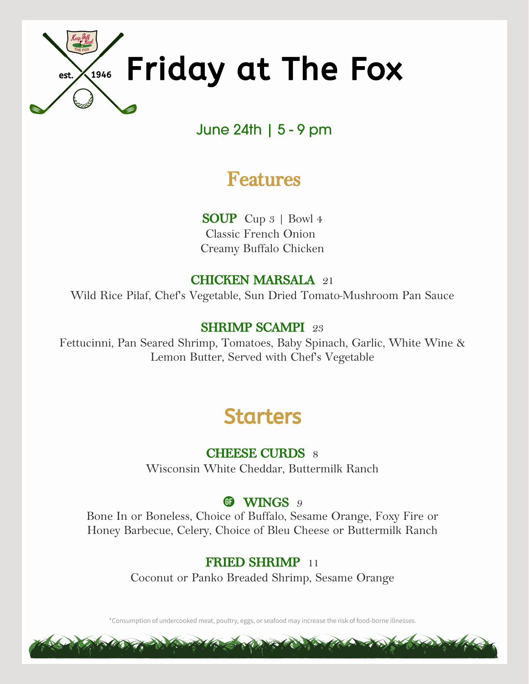

## June 24th | 5 - 9 pm

## **Features**

**SOUP** Cup 3 | Bowl 4 Classic French Onion Creamy Buffalo Chicken

### **CHICKEN MARSALA** 21

Wild Rice Pilaf, Chef's Vegetable, Sun Dried Tomato-Mushroom Pan Sauce

### **SHRIMP SCAMPI** 23

Fettucinni, Pan Seared Shrimp, Tomatoes, Baby Spinach, Garlic, White Wine & Lemon Butter, Served with Chef's Vegetable

# Starters

## **CHEESE CURDS** 8

Wisconsin White Cheddar, Buttermilk Ranch

## **CD** WINGS 9

Bone In or Boneless, Choice of Buffalo, Sesame Orange, Foxy Fire or Honey Barbecue, Celery, Choice of Bleu Cheese or Buttermilk Ranch

## **FRIED SHRIMP** 11

Coconut or Panko Breaded Shrimp, Sesame Orange

\*Consumption of undercooked meat, poultry, eggs, or seafood may increase the risk of food-borne illnesses.